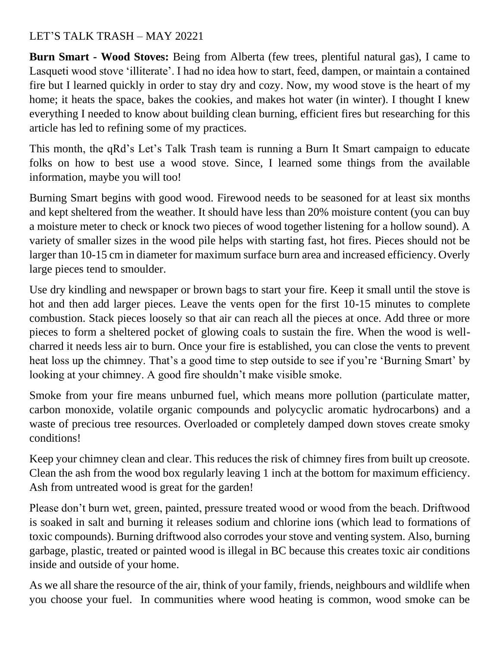## LET'S TALK TRASH – MAY 20221

**Burn Smart - Wood Stoves:** Being from Alberta (few trees, plentiful natural gas), I came to Lasqueti wood stove 'illiterate'. I had no idea how to start, feed, dampen, or maintain a contained fire but I learned quickly in order to stay dry and cozy. Now, my wood stove is the heart of my home; it heats the space, bakes the cookies, and makes hot water (in winter). I thought I knew everything I needed to know about building clean burning, efficient fires but researching for this article has led to refining some of my practices.

This month, the qRd's Let's Talk Trash team is running a Burn It Smart campaign to educate folks on how to best use a wood stove. Since, I learned some things from the available information, maybe you will too!

Burning Smart begins with good wood. Firewood needs to be seasoned for at least six months and kept sheltered from the weather. It should have less than 20% moisture content (you can buy a moisture meter to check or knock two pieces of wood together listening for a hollow sound). A variety of smaller sizes in the wood pile helps with starting fast, hot fires. Pieces should not be larger than 10-15 cm in diameter for maximum surface burn area and increased efficiency. Overly large pieces tend to smoulder.

Use dry kindling and newspaper or brown bags to start your fire. Keep it small until the stove is hot and then add larger pieces. Leave the vents open for the first 10-15 minutes to complete combustion. Stack pieces loosely so that air can reach all the pieces at once. Add three or more pieces to form a sheltered pocket of glowing coals to sustain the fire. When the wood is wellcharred it needs less air to burn. Once your fire is established, you can close the vents to prevent heat loss up the chimney. That's a good time to step outside to see if you're 'Burning Smart' by looking at your chimney. A good fire shouldn't make visible smoke.

Smoke from your fire means unburned fuel, which means more pollution (particulate matter, carbon monoxide, volatile organic compounds and polycyclic aromatic hydrocarbons) and a waste of precious tree resources. Overloaded or completely damped down stoves create smoky conditions!

Keep your chimney clean and clear. This reduces the risk of chimney fires from built up creosote. Clean the ash from the wood box regularly leaving 1 inch at the bottom for maximum efficiency. Ash from untreated wood is great for the garden!

Please don't burn wet, green, painted, pressure treated wood or wood from the beach. Driftwood is soaked in salt and burning it releases sodium and chlorine ions (which lead to formations of toxic compounds). Burning driftwood also corrodes your stove and venting system. Also, burning garbage, plastic, treated or painted wood is illegal in BC because this creates toxic air conditions inside and outside of your home.

As we all share the resource of the air, think of your family, friends, neighbours and wildlife when you choose your fuel. In communities where wood heating is common, wood smoke can be